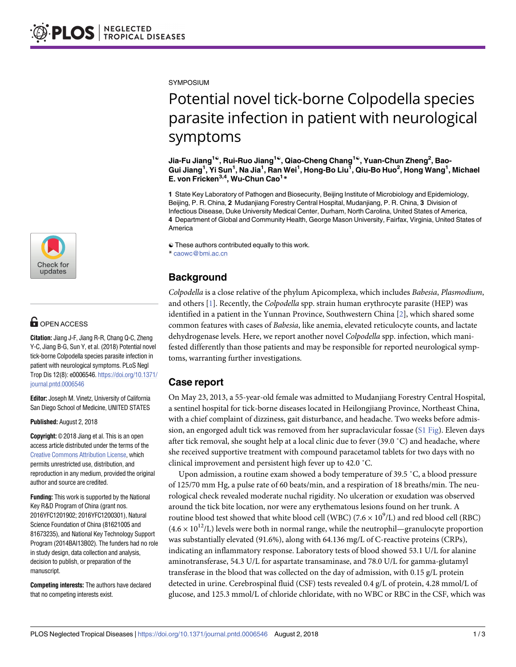

## **G** OPEN ACCESS

**Citation:** Jiang J-F, Jiang R-R, Chang Q-C, Zheng Y-C, Jiang B-G, Sun Y, et al. (2018) Potential novel tick-borne Colpodella species parasite infection in patient with neurological symptoms. PLoS Negl Trop Dis 12(8): e0006546. [https://doi.org/10.1371/](https://doi.org/10.1371/journal.pntd.0006546) [journal.pntd.0006546](https://doi.org/10.1371/journal.pntd.0006546)

**Editor:** Joseph M. Vinetz, University of California San Diego School of Medicine, UNITED STATES

**Published:** August 2, 2018

**Copyright:** © 2018 Jiang et al. This is an open access article distributed under the terms of the Creative Commons [Attribution](http://creativecommons.org/licenses/by/4.0/) License, which permits unrestricted use, distribution, and reproduction in any medium, provided the original author and source are credited.

**Funding:** This work is supported by the National Key R&D Program of China (grant nos. 2016YFC1201902; 2016YFC1200301), Natural Science Foundation of China (81621005 and 81673235), and National Key Technology Support Program (2014BAI13B02). The funders had no role in study design, data collection and analysis, decision to publish, or preparation of the manuscript.

**Competing interests:** The authors have declared that no competing interests exist.

<span id="page-0-0"></span>**SYMPOSIUM** 

# Potential novel tick-borne Colpodella species parasite infection in patient with neurological symptoms

**Jia-Fu Jiang1**☯**, Rui-Ruo Jiang1**☯**, Qiao-Cheng Chang1**☯**, Yuan-Chun Zheng2 , Bao-**Gui Jiang<sup>1</sup>, Yi Sun<sup>1</sup>, Na Jia<sup>1</sup>, Ran Wei<sup>1</sup>, Hong-Bo Liu<sup>1</sup>, Qiu-Bo Huo<sup>2</sup>, Hong Wang<sup>1</sup>, Michael **E. von Fricken3,4, Wu-Chun Cao1 \***

**1** State Key Laboratory of Pathogen and Biosecurity, Beijing Institute of Microbiology and Epidemiology, Beijing, P. R. China, **2** Mudanjiang Forestry Central Hospital, Mudanjiang, P. R. China, **3** Division of Infectious Disease, Duke University Medical Center, Durham, North Carolina, United States of America, **4** Department of Global and Community Health, George Mason University, Fairfax, Virginia, United States of America

☯ These authors contributed equally to this work.

\* caowc@bmi.ac.cn

### **Background**

*Colpodella* is a close relative of the phylum Apicomplexa, which includes *Babesia*, *Plasmodium*, and others [[1\]](#page-2-0). Recently, the *Colpodella* spp. strain human erythrocyte parasite (HEP) was identified in a patient in the Yunnan Province, Southwestern China [[2\]](#page-2-0), which shared some common features with cases of *Babesia*, like anemia, elevated reticulocyte counts, and lactate dehydrogenase levels. Here, we report another novel *Colpodella* spp. infection, which manifested differently than those patients and may be responsible for reported neurological symptoms, warranting further investigations.

#### **Case report**

On May 23, 2013, a 55-year-old female was admitted to Mudanjiang Forestry Central Hospital, a sentinel hospital for tick-borne diseases located in Heilongjiang Province, Northeast China, with a chief complaint of dizziness, gait disturbance, and headache. Two weeks before admission, an engorged adult tick was removed from her supraclavicular fossae (S1 [Fig\)](#page-2-0). Eleven days after tick removal, she sought help at a local clinic due to fever (39.0 ˚C) and headache, where she received supportive treatment with compound paracetamol tablets for two days with no clinical improvement and persistent high fever up to 42.0 ˚C.

Upon admission, a routine exam showed a body temperature of 39.5 ˚C, a blood pressure of 125/70 mm Hg, a pulse rate of 60 beats/min, and a respiration of 18 breaths/min. The neurological check revealed moderate nuchal rigidity. No ulceration or exudation was observed around the tick bite location, nor were any erythematous lesions found on her trunk. A routine blood test showed that white blood cell (WBC)  $(7.6 \times 10^9$ /L) and red blood cell (RBC)  $(4.6 \times 10^{12}$ /L) levels were both in normal range, while the neutrophil—granulocyte proportion was substantially elevated (91.6%), along with 64.136 mg/L of C-reactive proteins (CRPs), indicating an inflammatory response. Laboratory tests of blood showed 53.1 U/L for alanine aminotransferase, 54.3 U/L for aspartate transaminase, and 78.0 U/L for gamma-glutamyl transferase in the blood that was collected on the day of admission, with 0.15 g/L protein detected in urine. Cerebrospinal fluid (CSF) tests revealed 0.4 g/L of protein, 4.28 mmol/L of glucose, and 125.3 mmol/L of chloride chloridate, with no WBC or RBC in the CSF, which was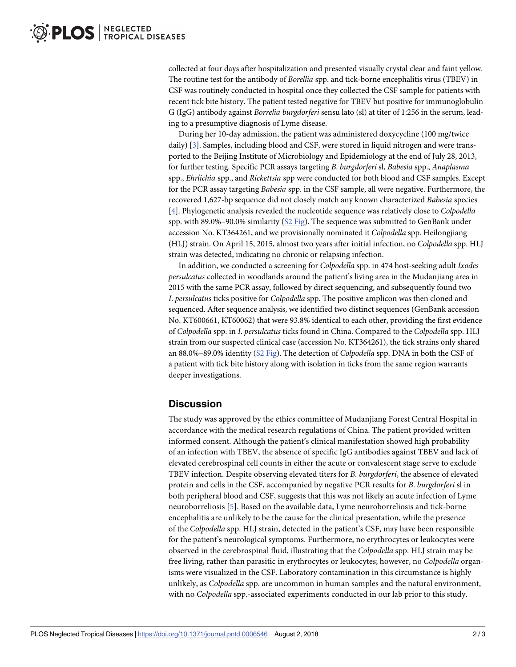<span id="page-1-0"></span>collected at four days after hospitalization and presented visually crystal clear and faint yellow. The routine test for the antibody of *Borellia* spp. and tick-borne encephalitis virus (TBEV) in CSF was routinely conducted in hospital once they collected the CSF sample for patients with recent tick bite history. The patient tested negative for TBEV but positive for immunoglobulin G (IgG) antibody against *Borrelia burgdorferi* sensu lato (sl) at titer of 1:256 in the serum, leading to a presumptive diagnosis of Lyme disease.

During her 10-day admission, the patient was administered doxycycline (100 mg/twice daily) [\[3](#page-2-0)]. Samples, including blood and CSF, were stored in liquid nitrogen and were transported to the Beijing Institute of Microbiology and Epidemiology at the end of July 28, 2013, for further testing. Specific PCR assays targeting *B*. *burgdorferi* sl, *Babesia* spp., *Anaplasma* spp., *Ehrlichia* spp., and *Rickettsia* spp were conducted for both blood and CSF samples. Except for the PCR assay targeting *Babesia* spp. in the CSF sample, all were negative. Furthermore, the recovered 1,627-bp sequence did not closely match any known characterized *Babesia* species [\[4](#page-2-0)]. Phylogenetic analysis revealed the nucleotide sequence was relatively close to *Colpodella* spp. with 89.0%–90.0% similarity ( $S2$  [Fig\)](#page-2-0). The sequence was submitted to GenBank under accession No. KT364261, and we provisionally nominated it *Colpodella* spp. Heilongjiang (HLJ) strain. On April 15, 2015, almost two years after initial infection, no *Colpodella* spp. HLJ strain was detected, indicating no chronic or relapsing infection.

In addition, we conducted a screening for *Colpodella* spp. in 474 host-seeking adult *Ixodes persulcatus* collected in woodlands around the patient's living area in the Mudanjiang area in 2015 with the same PCR assay, followed by direct sequencing, and subsequently found two *I*. *persulcatus* ticks positive for *Colpodella* spp. The positive amplicon was then cloned and sequenced. After sequence analysis, we identified two distinct sequences (GenBank accession No. KT600661, KT60062) that were 93.8% identical to each other, providing the first evidence of *Colpodella* spp. in *I*. *persulcatus* ticks found in China. Compared to the *Colpodella* spp. HLJ strain from our suspected clinical case (accession No. KT364261), the tick strains only shared an 88.0%–89.0% identity (S2 [Fig](#page-2-0)). The detection of *Colpodella* spp. DNA in both the CSF of a patient with tick bite history along with isolation in ticks from the same region warrants deeper investigations.

#### **Discussion**

The study was approved by the ethics committee of Mudanjiang Forest Central Hospital in accordance with the medical research regulations of China. The patient provided written informed consent. Although the patient's clinical manifestation showed high probability of an infection with TBEV, the absence of specific IgG antibodies against TBEV and lack of elevated cerebrospinal cell counts in either the acute or convalescent stage serve to exclude TBEV infection. Despite observing elevated titers for *B*. *burgdorferi*, the absence of elevated protein and cells in the CSF, accompanied by negative PCR results for *B*. *burgdorferi* sl in both peripheral blood and CSF, suggests that this was not likely an acute infection of Lyme neuroborreliosis [[5\]](#page-2-0). Based on the available data, Lyme neuroborreliosis and tick-borne encephalitis are unlikely to be the cause for the clinical presentation, while the presence of the *Colpodella* spp. HLJ strain, detected in the patient's CSF, may have been responsible for the patient's neurological symptoms. Furthermore, no erythrocytes or leukocytes were observed in the cerebrospinal fluid, illustrating that the *Colpodella* spp. HLJ strain may be free living, rather than parasitic in erythrocytes or leukocytes; however, no *Colpodella* organisms were visualized in the CSF. Laboratory contamination in this circumstance is highly unlikely, as *Colpodella* spp. are uncommon in human samples and the natural environment, with no *Colpodella* spp.-associated experiments conducted in our lab prior to this study.